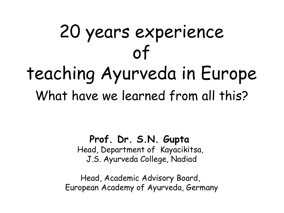# 20 years experience of teaching Ayurveda in Europe What have we learned from all this?

#### **Prof. Dr. S.N. Gupta**

Head, Department of Kayacikitsa, J.S. Ayurveda College, Nadiad

Head, Academic Advisory Board, European Academy of Ayurveda, Germany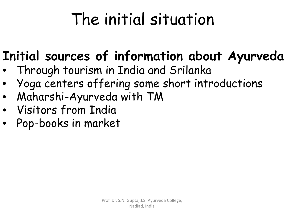### **Initial sources of information about Ayurveda**

- Through tourism in India and Srilanka
- Yoga centers offering some short introductions
- Maharshi-Ayurveda with TM
- Visitors from India
- Pop-books in market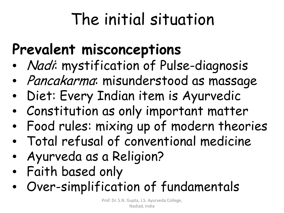### **Prevalent misconceptions**

- *Nadi*: mystification of Pulse-diagnosis
- Pancakarma: misunderstood as massage
- Diet: Every Indian item is Ayurvedic
- Constitution as only important matter
- Food rules: mixing up of modern theories
- Total refusal of conventional medicine
- Ayurveda as a Religion?
- Faith based only
- Over-simplification of fundamentals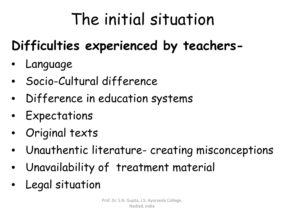### **Difficulties experienced by teachers-**

- Language
- Socio-Cultural difference
- Difference in education systems
- Expectations
- Original texts
- Unauthentic literature- creating misconceptions
- Unavailability of treatment material
- Legal situation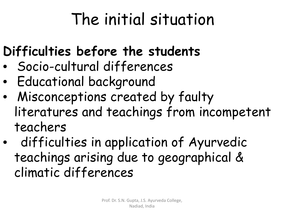### **Difficulties before the students**

- Socio-cultural differences
- Educational background
- Misconceptions created by faulty literatures and teachings from incompetent teachers
- difficulties in application of Ayurvedic teachings arising due to geographical & climatic differences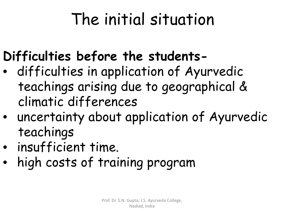### **Difficulties before the students-**

- difficulties in application of Ayurvedic teachings arising due to geographical & climatic differences
- uncertainty about application of Ayurvedic teachings
- insufficient time.
- high costs of training program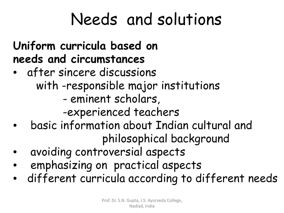#### **Uniform curricula based on needs and circumstances**

- after sincere discussions with -responsible major institutions - eminent scholars, -experienced teachers
- basic information about Indian cultural and philosophical background
- avoiding controversial aspects
- emphasizing on practical aspects
- different curricula according to different needs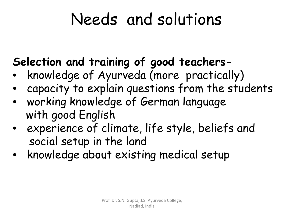### **Selection and training of good teachers-**

- knowledge of Ayurveda (more practically)
- capacity to explain questions from the students
- working knowledge of German language with good English
- experience of climate, life style, beliefs and social setup in the land
- knowledge about existing medical setup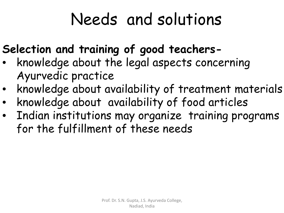### **Selection and training of good teachers-**

- knowledge about the legal aspects concerning Ayurvedic practice
- knowledge about availability of treatment materials
- knowledge about availability of food articles
- Indian institutions may organize training programs for the fulfillment of these needs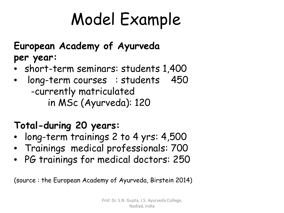# Model Example

#### **European Academy of Ayurveda per year:**

- short-term seminars: students 1,400
- long-term courses : students 450 -currently matriculated in MSc (Ayurveda): 120

#### **Total-during 20 years:**

- long-term trainings 2 to 4 yrs: 4,500
- Trainings medical professionals: 700
- PG trainings for medical doctors: 250

(source : the European Academy of Ayurveda, Birstein 2014)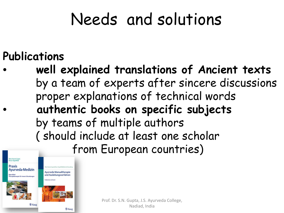#### **Publications**

• **well explained translations of Ancient texts** by a team of experts after sincere discussions proper explanations of technical words • **authentic books on specific subjects** by teams of multiple authors ( should include at least one scholar from European countries)



und Ausleitungsverfahren **Naktisches Lehrharh** 

學 Haug

Prof. Dr. S.N. Gupta, J.S. Ayurveda College, Nadiad, India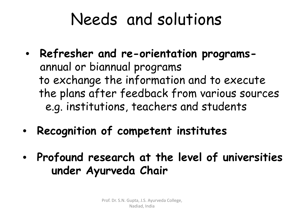- **Refresher and re-orientation programs** annual or biannual programs to exchange the information and to execute the plans after feedback from various sources e.g. institutions, teachers and students
- **Recognition of competent institutes**
- **Profound research at the level of universities under Ayurveda Chair**